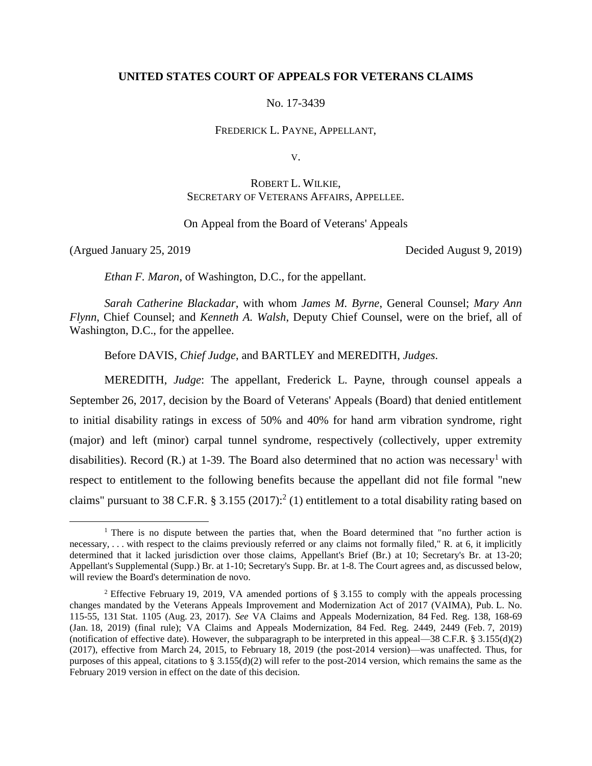## **UNITED STATES COURT OF APPEALS FOR VETERANS CLAIMS**

No. 17-3439

FREDERICK L. PAYNE, APPELLANT,

V.

# ROBERT L. WILKIE, SECRETARY OF VETERANS AFFAIRS, APPELLEE.

## On Appeal from the Board of Veterans' Appeals

 $\overline{a}$ 

(Argued January 25, 2019 Decided August 9, 2019)

*Ethan F. Maron*, of Washington, D.C., for the appellant.

*Sarah Catherine Blackadar*, with whom *James M. Byrne*, General Counsel; *Mary Ann Flynn*, Chief Counsel; and *Kenneth A. Walsh*, Deputy Chief Counsel, were on the brief, all of Washington, D.C., for the appellee.

Before DAVIS, *Chief Judge*, and BARTLEY and MEREDITH, *Judges*.

MEREDITH, *Judge*: The appellant, Frederick L. Payne, through counsel appeals a September 26, 2017, decision by the Board of Veterans' Appeals (Board) that denied entitlement to initial disability ratings in excess of 50% and 40% for hand arm vibration syndrome, right (major) and left (minor) carpal tunnel syndrome, respectively (collectively, upper extremity disabilities). Record (R.) at 1-39. The Board also determined that no action was necessary<sup>1</sup> with respect to entitlement to the following benefits because the appellant did not file formal "new claims" pursuant to 38 C.F.R. § 3.155 (2017):<sup>2</sup> (1) entitlement to a total disability rating based on

<sup>&</sup>lt;sup>1</sup> There is no dispute between the parties that, when the Board determined that "no further action is necessary, . . . with respect to the claims previously referred or any claims not formally filed," R. at 6, it implicitly determined that it lacked jurisdiction over those claims, Appellant's Brief (Br.) at 10; Secretary's Br. at 13-20; Appellant's Supplemental (Supp.) Br. at 1-10; Secretary's Supp. Br. at 1-8. The Court agrees and, as discussed below, will review the Board's determination de novo.

<sup>2</sup> Effective February 19, 2019, VA amended portions of § 3.155 to comply with the appeals processing changes mandated by the Veterans Appeals Improvement and Modernization Act of 2017 (VAIMA), Pub. L. No. 115-55, 131 Stat. 1105 (Aug. 23, 2017). *See* VA Claims and Appeals Modernization, 84 Fed. Reg. 138, 168-69 (Jan. 18, 2019) (final rule); VA Claims and Appeals Modernization, 84 Fed. Reg. 2449, 2449 (Feb. 7, 2019) (notification of effective date). However, the subparagraph to be interpreted in this appeal—38 C.F.R. § 3.155(d)(2) (2017), effective from March 24, 2015, to February 18, 2019 (the post-2014 version)—was unaffected. Thus, for purposes of this appeal, citations to  $\S 3.155(d)(2)$  will refer to the post-2014 version, which remains the same as the February 2019 version in effect on the date of this decision.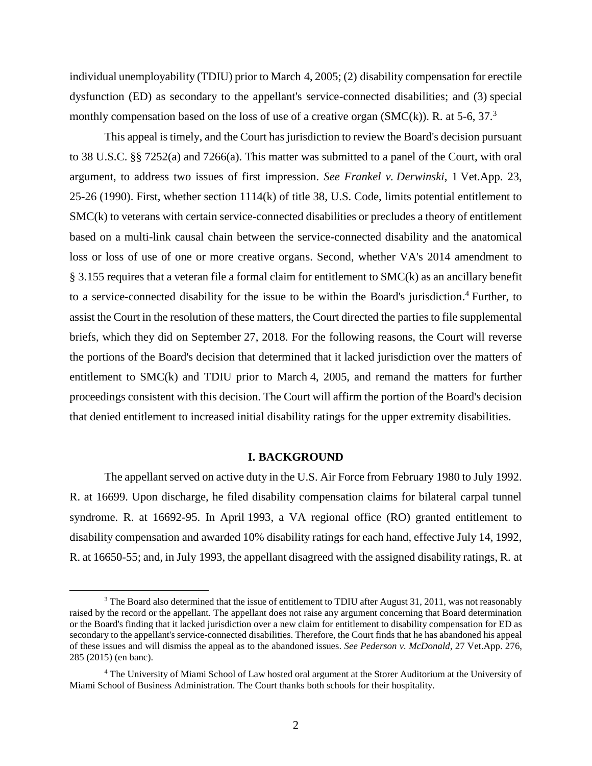individual unemployability (TDIU) prior to March 4, 2005; (2) disability compensation for erectile dysfunction (ED) as secondary to the appellant's service-connected disabilities; and (3) special monthly compensation based on the loss of use of a creative organ (SMC(k)). R. at 5-6, 37.<sup>3</sup>

This appeal is timely, and the Court has jurisdiction to review the Board's decision pursuant to 38 U.S.C. §§ 7252(a) and 7266(a). This matter was submitted to a panel of the Court, with oral argument, to address two issues of first impression. *See Frankel v. Derwinski*, 1 Vet.App. 23, 25-26 (1990). First, whether section 1114(k) of title 38, U.S. Code, limits potential entitlement to SMC(k) to veterans with certain service-connected disabilities or precludes a theory of entitlement based on a multi-link causal chain between the service-connected disability and the anatomical loss or loss of use of one or more creative organs. Second, whether VA's 2014 amendment to § 3.155 requires that a veteran file a formal claim for entitlement to SMC(k) as an ancillary benefit to a service-connected disability for the issue to be within the Board's jurisdiction. <sup>4</sup> Further, to assist the Court in the resolution of these matters, the Court directed the parties to file supplemental briefs, which they did on September 27, 2018. For the following reasons, the Court will reverse the portions of the Board's decision that determined that it lacked jurisdiction over the matters of entitlement to SMC(k) and TDIU prior to March 4, 2005, and remand the matters for further proceedings consistent with this decision. The Court will affirm the portion of the Board's decision that denied entitlement to increased initial disability ratings for the upper extremity disabilities.

#### **I. BACKGROUND**

The appellant served on active duty in the U.S. Air Force from February 1980 to July 1992. R. at 16699. Upon discharge, he filed disability compensation claims for bilateral carpal tunnel syndrome. R. at 16692-95. In April 1993, a VA regional office (RO) granted entitlement to disability compensation and awarded 10% disability ratings for each hand, effective July 14, 1992, R. at 16650-55; and, in July 1993, the appellant disagreed with the assigned disability ratings, R. at

<sup>&</sup>lt;sup>3</sup> The Board also determined that the issue of entitlement to TDIU after August 31, 2011, was not reasonably raised by the record or the appellant. The appellant does not raise any argument concerning that Board determination or the Board's finding that it lacked jurisdiction over a new claim for entitlement to disability compensation for ED as secondary to the appellant's service-connected disabilities. Therefore, the Court finds that he has abandoned his appeal of these issues and will dismiss the appeal as to the abandoned issues. *See Pederson v. McDonald*, 27 Vet.App. 276, 285 (2015) (en banc).

<sup>4</sup> The University of Miami School of Law hosted oral argument at the Storer Auditorium at the University of Miami School of Business Administration. The Court thanks both schools for their hospitality.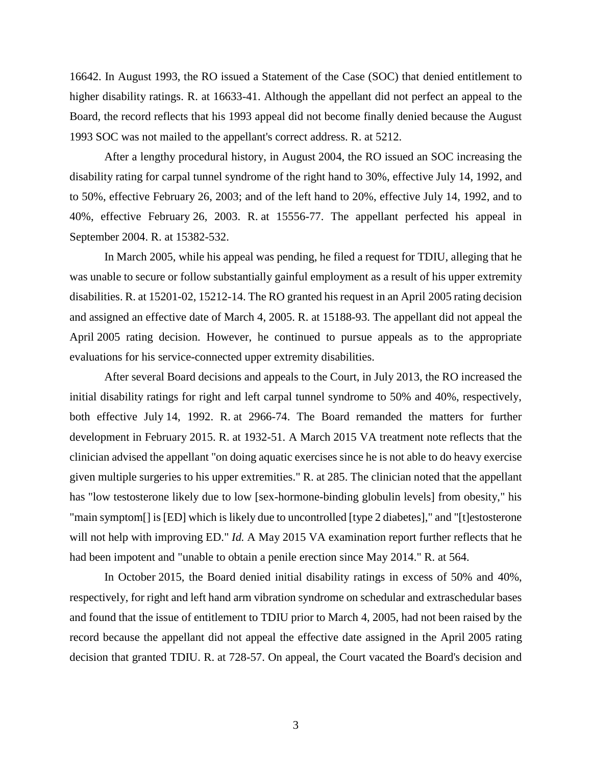16642. In August 1993, the RO issued a Statement of the Case (SOC) that denied entitlement to higher disability ratings. R. at 16633-41. Although the appellant did not perfect an appeal to the Board, the record reflects that his 1993 appeal did not become finally denied because the August 1993 SOC was not mailed to the appellant's correct address. R. at 5212.

After a lengthy procedural history, in August 2004, the RO issued an SOC increasing the disability rating for carpal tunnel syndrome of the right hand to 30%, effective July 14, 1992, and to 50%, effective February 26, 2003; and of the left hand to 20%, effective July 14, 1992, and to 40%, effective February 26, 2003. R. at 15556-77. The appellant perfected his appeal in September 2004. R. at 15382-532.

In March 2005, while his appeal was pending, he filed a request for TDIU, alleging that he was unable to secure or follow substantially gainful employment as a result of his upper extremity disabilities. R. at 15201-02, 15212-14. The RO granted his request in an April 2005 rating decision and assigned an effective date of March 4, 2005. R. at 15188-93. The appellant did not appeal the April 2005 rating decision. However, he continued to pursue appeals as to the appropriate evaluations for his service-connected upper extremity disabilities.

After several Board decisions and appeals to the Court, in July 2013, the RO increased the initial disability ratings for right and left carpal tunnel syndrome to 50% and 40%, respectively, both effective July 14, 1992. R. at 2966-74. The Board remanded the matters for further development in February 2015. R. at 1932-51. A March 2015 VA treatment note reflects that the clinician advised the appellant "on doing aquatic exercises since he is not able to do heavy exercise given multiple surgeries to his upper extremities." R. at 285. The clinician noted that the appellant has "low testosterone likely due to low [sex-hormone-binding globulin levels] from obesity," his "main symptom[] is [ED] which is likely due to uncontrolled [type 2 diabetes]," and "[t]estosterone will not help with improving ED." *Id.* A May 2015 VA examination report further reflects that he had been impotent and "unable to obtain a penile erection since May 2014." R. at 564.

In October 2015, the Board denied initial disability ratings in excess of 50% and 40%, respectively, for right and left hand arm vibration syndrome on schedular and extraschedular bases and found that the issue of entitlement to TDIU prior to March 4, 2005, had not been raised by the record because the appellant did not appeal the effective date assigned in the April 2005 rating decision that granted TDIU. R. at 728-57. On appeal, the Court vacated the Board's decision and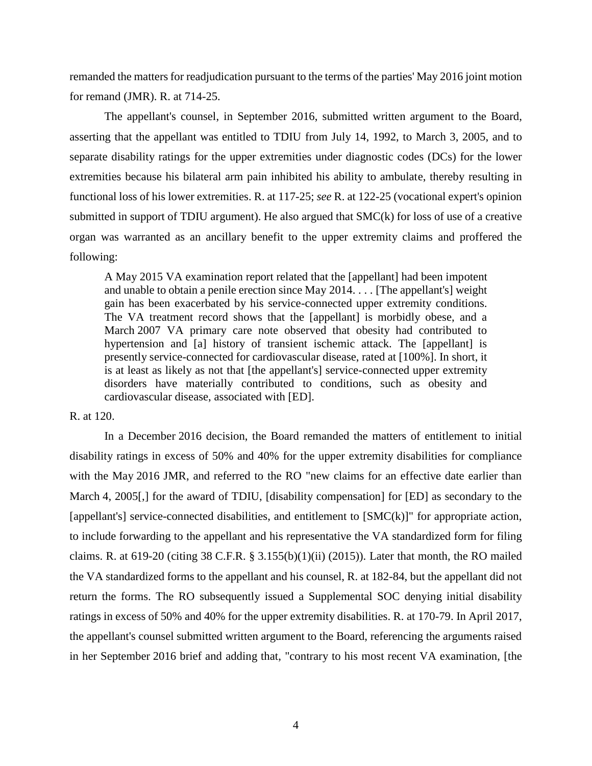remanded the matters for readjudication pursuant to the terms of the parties' May 2016 joint motion for remand (JMR). R. at 714-25.

The appellant's counsel, in September 2016, submitted written argument to the Board, asserting that the appellant was entitled to TDIU from July 14, 1992, to March 3, 2005, and to separate disability ratings for the upper extremities under diagnostic codes (DCs) for the lower extremities because his bilateral arm pain inhibited his ability to ambulate, thereby resulting in functional loss of his lower extremities. R. at 117-25; *see* R. at 122-25 (vocational expert's opinion submitted in support of TDIU argument). He also argued that SMC(k) for loss of use of a creative organ was warranted as an ancillary benefit to the upper extremity claims and proffered the following:

A May 2015 VA examination report related that the [appellant] had been impotent and unable to obtain a penile erection since May 2014. . . . [The appellant's] weight gain has been exacerbated by his service-connected upper extremity conditions. The VA treatment record shows that the [appellant] is morbidly obese, and a March 2007 VA primary care note observed that obesity had contributed to hypertension and [a] history of transient ischemic attack. The [appellant] is presently service-connected for cardiovascular disease, rated at [100%]. In short, it is at least as likely as not that [the appellant's] service-connected upper extremity disorders have materially contributed to conditions, such as obesity and cardiovascular disease, associated with [ED].

R. at 120.

In a December 2016 decision, the Board remanded the matters of entitlement to initial disability ratings in excess of 50% and 40% for the upper extremity disabilities for compliance with the May 2016 JMR, and referred to the RO "new claims for an effective date earlier than March 4, 2005. [1] for the award of TDIU, [disability compensation] for [ED] as secondary to the [appellant's] service-connected disabilities, and entitlement to  $[SMC(k)]$ " for appropriate action, to include forwarding to the appellant and his representative the VA standardized form for filing claims. R. at 619-20 (citing 38 C.F.R. § 3.155(b)(1)(ii) (2015)). Later that month, the RO mailed the VA standardized forms to the appellant and his counsel, R. at 182-84, but the appellant did not return the forms. The RO subsequently issued a Supplemental SOC denying initial disability ratings in excess of 50% and 40% for the upper extremity disabilities. R. at 170-79. In April 2017, the appellant's counsel submitted written argument to the Board, referencing the arguments raised in her September 2016 brief and adding that, "contrary to his most recent VA examination, [the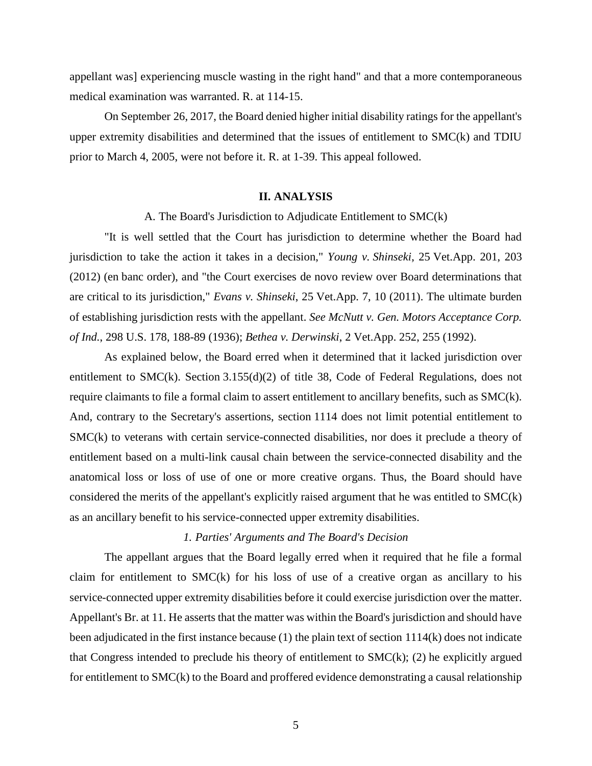appellant was] experiencing muscle wasting in the right hand" and that a more contemporaneous medical examination was warranted. R. at 114-15.

On September 26, 2017, the Board denied higher initial disability ratings for the appellant's upper extremity disabilities and determined that the issues of entitlement to SMC(k) and TDIU prior to March 4, 2005, were not before it. R. at 1-39. This appeal followed.

### **II. ANALYSIS**

A. The Board's Jurisdiction to Adjudicate Entitlement to SMC(k)

"It is well settled that the Court has jurisdiction to determine whether the Board had jurisdiction to take the action it takes in a decision," *Young v. Shinseki*, 25 Vet.App. 201, 203 (2012) (en banc order), and "the Court exercises de novo review over Board determinations that are critical to its jurisdiction," *Evans v. Shinseki*, 25 Vet.App. 7, 10 (2011). The ultimate burden of establishing jurisdiction rests with the appellant. *See McNutt v. Gen. Motors Acceptance Corp. of Ind.*, 298 U.S. 178, 188-89 (1936); *Bethea v. Derwinski*, 2 Vet.App. 252, 255 (1992).

As explained below, the Board erred when it determined that it lacked jurisdiction over entitlement to SMC(k). Section 3.155(d)(2) of title 38, Code of Federal Regulations, does not require claimants to file a formal claim to assert entitlement to ancillary benefits, such as SMC(k). And, contrary to the Secretary's assertions, section 1114 does not limit potential entitlement to SMC(k) to veterans with certain service-connected disabilities, nor does it preclude a theory of entitlement based on a multi-link causal chain between the service-connected disability and the anatomical loss or loss of use of one or more creative organs. Thus, the Board should have considered the merits of the appellant's explicitly raised argument that he was entitled to SMC(k) as an ancillary benefit to his service-connected upper extremity disabilities.

# *1. Parties' Arguments and The Board's Decision*

The appellant argues that the Board legally erred when it required that he file a formal claim for entitlement to SMC(k) for his loss of use of a creative organ as ancillary to his service-connected upper extremity disabilities before it could exercise jurisdiction over the matter. Appellant's Br. at 11. He asserts that the matter was within the Board's jurisdiction and should have been adjudicated in the first instance because (1) the plain text of section 1114(k) does not indicate that Congress intended to preclude his theory of entitlement to  $SMC(k)$ ; (2) he explicitly argued for entitlement to SMC(k) to the Board and proffered evidence demonstrating a causal relationship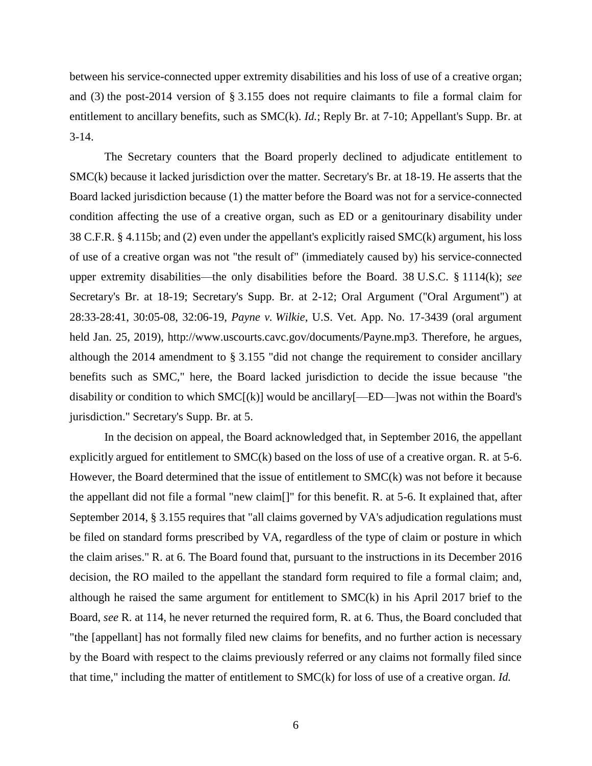between his service-connected upper extremity disabilities and his loss of use of a creative organ; and (3) the post-2014 version of § 3.155 does not require claimants to file a formal claim for entitlement to ancillary benefits, such as SMC(k). *Id.*; Reply Br. at 7-10; Appellant's Supp. Br. at 3-14.

The Secretary counters that the Board properly declined to adjudicate entitlement to SMC(k) because it lacked jurisdiction over the matter. Secretary's Br. at 18-19. He asserts that the Board lacked jurisdiction because (1) the matter before the Board was not for a service-connected condition affecting the use of a creative organ, such as ED or a genitourinary disability under 38 C.F.R. § 4.115b; and (2) even under the appellant's explicitly raised SMC(k) argument, his loss of use of a creative organ was not "the result of" (immediately caused by) his service-connected upper extremity disabilities—the only disabilities before the Board. 38 U.S.C. § 1114(k); *see* Secretary's Br. at 18-19; Secretary's Supp. Br. at 2-12; Oral Argument ("Oral Argument") at 28:33-28:41, 30:05-08, 32:06-19, *Payne v. Wilkie*, U.S. Vet. App. No. 17-3439 (oral argument held Jan. 25, 2019), http://www.uscourts.cavc.gov/documents/Payne.mp3. Therefore, he argues, although the 2014 amendment to § 3.155 "did not change the requirement to consider ancillary benefits such as SMC," here, the Board lacked jurisdiction to decide the issue because "the disability or condition to which  $SMC[(k)]$  would be ancillary  $[-ED$ —]was not within the Board's jurisdiction." Secretary's Supp. Br. at 5.

In the decision on appeal, the Board acknowledged that, in September 2016, the appellant explicitly argued for entitlement to SMC(k) based on the loss of use of a creative organ. R. at 5-6. However, the Board determined that the issue of entitlement to SMC(k) was not before it because the appellant did not file a formal "new claim[]" for this benefit. R. at 5-6. It explained that, after September 2014, § 3.155 requires that "all claims governed by VA's adjudication regulations must be filed on standard forms prescribed by VA, regardless of the type of claim or posture in which the claim arises." R. at 6. The Board found that, pursuant to the instructions in its December 2016 decision, the RO mailed to the appellant the standard form required to file a formal claim; and, although he raised the same argument for entitlement to SMC(k) in his April 2017 brief to the Board, *see* R. at 114, he never returned the required form, R. at 6. Thus, the Board concluded that "the [appellant] has not formally filed new claims for benefits, and no further action is necessary by the Board with respect to the claims previously referred or any claims not formally filed since that time," including the matter of entitlement to SMC(k) for loss of use of a creative organ. *Id.*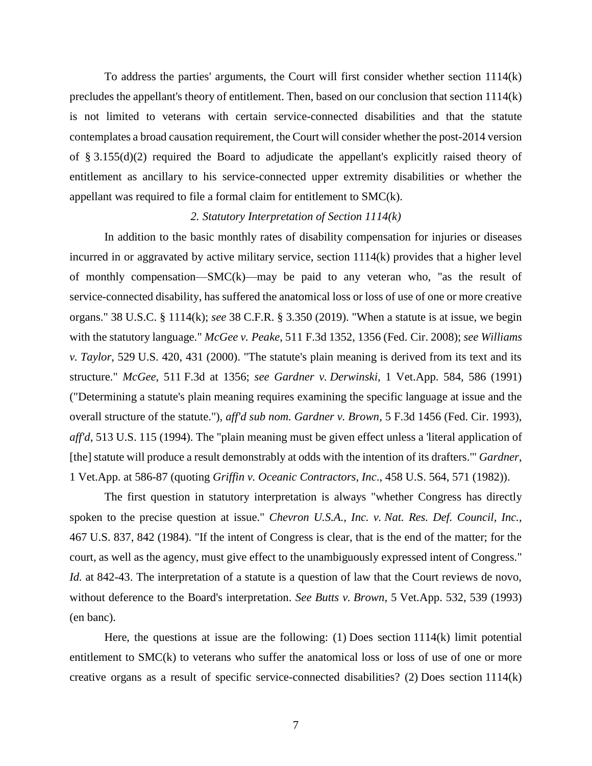To address the parties' arguments, the Court will first consider whether section 1114(k) precludes the appellant's theory of entitlement. Then, based on our conclusion that section 1114(k) is not limited to veterans with certain service-connected disabilities and that the statute contemplates a broad causation requirement, the Court will consider whether the post-2014 version of § 3.155(d)(2) required the Board to adjudicate the appellant's explicitly raised theory of entitlement as ancillary to his service-connected upper extremity disabilities or whether the appellant was required to file a formal claim for entitlement to SMC(k).

### *2. Statutory Interpretation of Section 1114(k)*

In addition to the basic monthly rates of disability compensation for injuries or diseases incurred in or aggravated by active military service, section 1114(k) provides that a higher level of monthly compensation—SMC(k)—may be paid to any veteran who, "as the result of service-connected disability, has suffered the anatomical loss or loss of use of one or more creative organs." 38 U.S.C. § 1114(k); *see* 38 C.F.R. § 3.350 (2019). "When a statute is at issue, we begin with the statutory language." *McGee v. Peake*, 511 F.3d 1352, 1356 (Fed. Cir. 2008); *see Williams v. Taylor*, 529 U.S. 420, 431 (2000). "The statute's plain meaning is derived from its text and its structure." *McGee*, 511 F.3d at 1356; *see Gardner v. Derwinski*, 1 Vet.App. 584, 586 (1991) ("Determining a statute's plain meaning requires examining the specific language at issue and the overall structure of the statute."), *aff'd sub nom. Gardner v. Brown*, 5 F.3d 1456 (Fed. Cir. 1993), *aff'd*, 513 U.S. 115 (1994). The "plain meaning must be given effect unless a 'literal application of [the] statute will produce a result demonstrably at odds with the intention of its drafters.'" *Gardner*, 1 Vet.App. at 586-87 (quoting *Griffin v. Oceanic Contractors, Inc*., 458 U.S. 564, 571 (1982)).

The first question in statutory interpretation is always "whether Congress has directly spoken to the precise question at issue." *Chevron U.S.A., Inc. v. Nat. Res. Def. Council, Inc.*, 467 U.S. 837, 842 (1984). "If the intent of Congress is clear, that is the end of the matter; for the court, as well as the agency, must give effect to the unambiguously expressed intent of Congress." *Id.* at 842-43. The interpretation of a statute is a question of law that the Court reviews de novo, without deference to the Board's interpretation. *See Butts v. Brown*, 5 Vet.App. 532, 539 (1993) (en banc).

Here, the questions at issue are the following: (1) Does section 1114(k) limit potential entitlement to SMC(k) to veterans who suffer the anatomical loss or loss of use of one or more creative organs as a result of specific service-connected disabilities? (2) Does section 1114(k)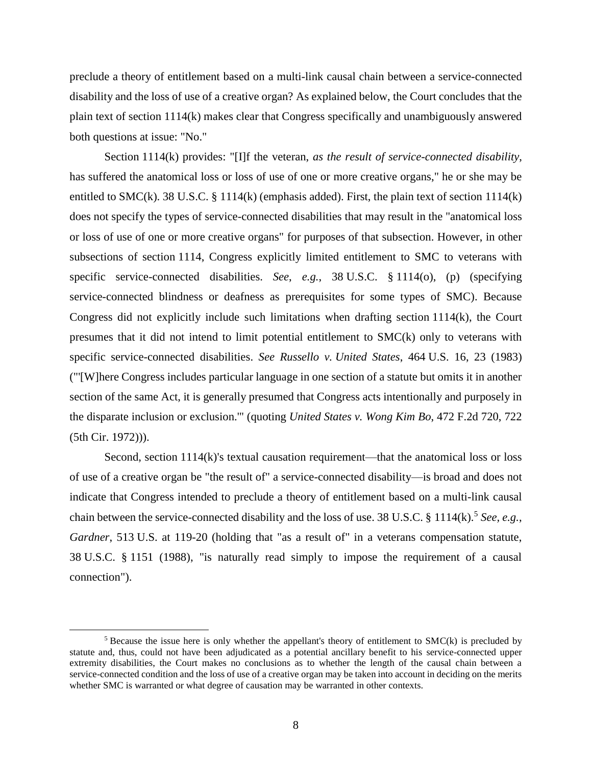preclude a theory of entitlement based on a multi-link causal chain between a service-connected disability and the loss of use of a creative organ? As explained below, the Court concludes that the plain text of section 1114(k) makes clear that Congress specifically and unambiguously answered both questions at issue: "No."

Section 1114(k) provides: "[I]f the veteran, *as the result of service-connected disability*, has suffered the anatomical loss or loss of use of one or more creative organs," he or she may be entitled to SMC(k). 38 U.S.C. § 1114(k) (emphasis added). First, the plain text of section 1114(k) does not specify the types of service-connected disabilities that may result in the "anatomical loss or loss of use of one or more creative organs" for purposes of that subsection. However, in other subsections of section 1114, Congress explicitly limited entitlement to SMC to veterans with specific service-connected disabilities. *See*, *e.g.*, 38 U.S.C. § 1114(o), (p) (specifying service-connected blindness or deafness as prerequisites for some types of SMC). Because Congress did not explicitly include such limitations when drafting section 1114(k), the Court presumes that it did not intend to limit potential entitlement to SMC(k) only to veterans with specific service-connected disabilities. *See Russello v. United States*, 464 U.S. 16, 23 (1983) ("'[W]here Congress includes particular language in one section of a statute but omits it in another section of the same Act, it is generally presumed that Congress acts intentionally and purposely in the disparate inclusion or exclusion.'" (quoting *United States v. Wong Kim Bo*, 472 F.2d 720, 722 (5th Cir. 1972))).

Second, section 1114(k)'s textual causation requirement—that the anatomical loss or loss of use of a creative organ be "the result of" a service-connected disability—is broad and does not indicate that Congress intended to preclude a theory of entitlement based on a multi-link causal chain between the service-connected disability and the loss of use. 38 U.S.C. § 1114(k). 5 *See, e.g.*, *Gardner*, 513 U.S. at 119-20 (holding that "as a result of" in a veterans compensation statute, 38 U.S.C. § 1151 (1988), "is naturally read simply to impose the requirement of a causal connection").

<sup>&</sup>lt;sup>5</sup> Because the issue here is only whether the appellant's theory of entitlement to  $SMC(k)$  is precluded by statute and, thus, could not have been adjudicated as a potential ancillary benefit to his service-connected upper extremity disabilities, the Court makes no conclusions as to whether the length of the causal chain between a service-connected condition and the loss of use of a creative organ may be taken into account in deciding on the merits whether SMC is warranted or what degree of causation may be warranted in other contexts.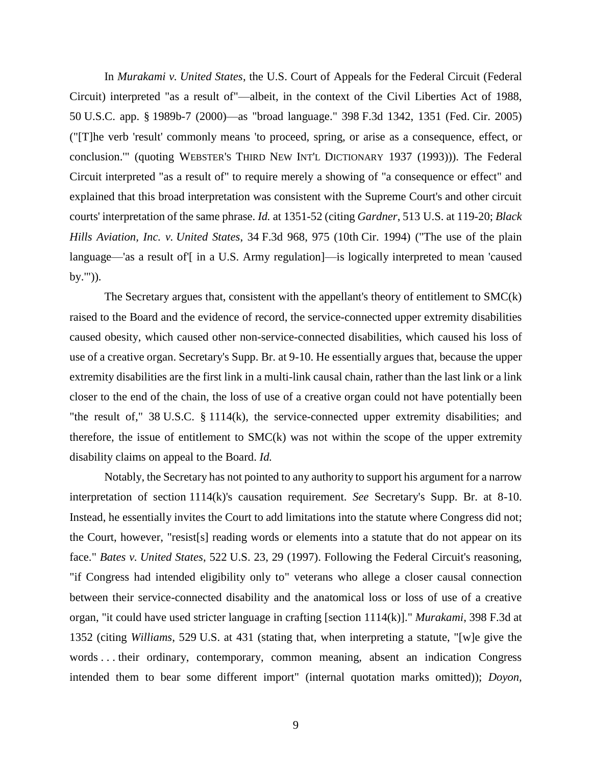In *Murakami v. United States*, the U.S. Court of Appeals for the Federal Circuit (Federal Circuit) interpreted "as a result of"—albeit, in the context of the Civil Liberties Act of 1988, 50 U.S.C. app. § 1989b-7 (2000)—as "broad language." 398 F.3d 1342, 1351 (Fed. Cir. 2005) ("[T]he verb 'result' commonly means 'to proceed, spring, or arise as a consequence, effect, or conclusion.'" (quoting WEBSTER'S THIRD NEW INT'L DICTIONARY 1937 (1993))). The Federal Circuit interpreted "as a result of" to require merely a showing of "a consequence or effect" and explained that this broad interpretation was consistent with the Supreme Court's and other circuit courts' interpretation of the same phrase. *Id.* at 1351-52 (citing *Gardner*, 513 U.S. at 119-20; *Black Hills Aviation, Inc. v. United States*, 34 F.3d 968, 975 (10th Cir. 1994) ("The use of the plain language—'as a result of'[ in a U.S. Army regulation]—is logically interpreted to mean 'caused by.'")).

The Secretary argues that, consistent with the appellant's theory of entitlement to SMC(k) raised to the Board and the evidence of record, the service-connected upper extremity disabilities caused obesity, which caused other non-service-connected disabilities, which caused his loss of use of a creative organ. Secretary's Supp. Br. at 9-10. He essentially argues that, because the upper extremity disabilities are the first link in a multi-link causal chain, rather than the last link or a link closer to the end of the chain, the loss of use of a creative organ could not have potentially been "the result of," 38 U.S.C. § 1114(k), the service-connected upper extremity disabilities; and therefore, the issue of entitlement to SMC(k) was not within the scope of the upper extremity disability claims on appeal to the Board. *Id.*

Notably, the Secretary has not pointed to any authority to support his argument for a narrow interpretation of section 1114(k)'s causation requirement. *See* Secretary's Supp. Br. at 8-10. Instead, he essentially invites the Court to add limitations into the statute where Congress did not; the Court, however, "resist[s] reading words or elements into a statute that do not appear on its face." *Bates v. United States*, 522 U.S. 23, 29 (1997). Following the Federal Circuit's reasoning, "if Congress had intended eligibility only to" veterans who allege a closer causal connection between their service-connected disability and the anatomical loss or loss of use of a creative organ, "it could have used stricter language in crafting [section 1114(k)]." *Murakami*, 398 F.3d at 1352 (citing *Williams*, 529 U.S. at 431 (stating that, when interpreting a statute, "[w]e give the words . . . their ordinary, contemporary, common meaning, absent an indication Congress intended them to bear some different import" (internal quotation marks omitted)); *Doyon,*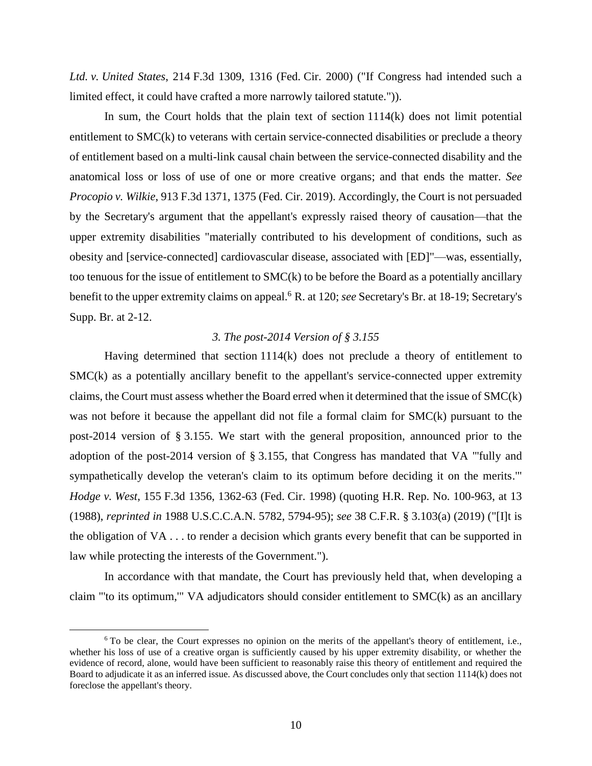*Ltd. v. United States*, 214 F.3d 1309, 1316 (Fed. Cir. 2000) ("If Congress had intended such a limited effect, it could have crafted a more narrowly tailored statute.")).

In sum, the Court holds that the plain text of section 1114(k) does not limit potential entitlement to SMC(k) to veterans with certain service-connected disabilities or preclude a theory of entitlement based on a multi-link causal chain between the service-connected disability and the anatomical loss or loss of use of one or more creative organs; and that ends the matter. *See Procopio v. Wilkie*, 913 F.3d 1371, 1375 (Fed. Cir. 2019). Accordingly, the Court is not persuaded by the Secretary's argument that the appellant's expressly raised theory of causation—that the upper extremity disabilities "materially contributed to his development of conditions, such as obesity and [service-connected] cardiovascular disease, associated with [ED]"—was, essentially, too tenuous for the issue of entitlement to SMC(k) to be before the Board as a potentially ancillary benefit to the upper extremity claims on appeal.<sup>6</sup> R. at 120; *see* Secretary's Br. at 18-19; Secretary's Supp. Br. at 2-12.

## *3. The post-2014 Version of § 3.155*

Having determined that section 1114(k) does not preclude a theory of entitlement to SMC(k) as a potentially ancillary benefit to the appellant's service-connected upper extremity claims, the Court must assess whether the Board erred when it determined that the issue of SMC(k) was not before it because the appellant did not file a formal claim for SMC(k) pursuant to the post-2014 version of § 3.155. We start with the general proposition, announced prior to the adoption of the post-2014 version of § 3.155, that Congress has mandated that VA "'fully and sympathetically develop the veteran's claim to its optimum before deciding it on the merits.'" *Hodge v. West*, 155 F.3d 1356, 1362-63 (Fed. Cir. 1998) (quoting H.R. Rep. No. 100-963, at 13 (1988), *reprinted in* 1988 U.S.C.C.A.N. 5782, 5794-95); *see* 38 C.F.R. § 3.103(a) (2019) ("[I]t is the obligation of VA . . . to render a decision which grants every benefit that can be supported in law while protecting the interests of the Government.").

In accordance with that mandate, the Court has previously held that, when developing a claim "'to its optimum,'" VA adjudicators should consider entitlement to SMC(k) as an ancillary

 $6$  To be clear, the Court expresses no opinion on the merits of the appellant's theory of entitlement, i.e., whether his loss of use of a creative organ is sufficiently caused by his upper extremity disability, or whether the evidence of record, alone, would have been sufficient to reasonably raise this theory of entitlement and required the Board to adjudicate it as an inferred issue. As discussed above, the Court concludes only that section 1114(k) does not foreclose the appellant's theory.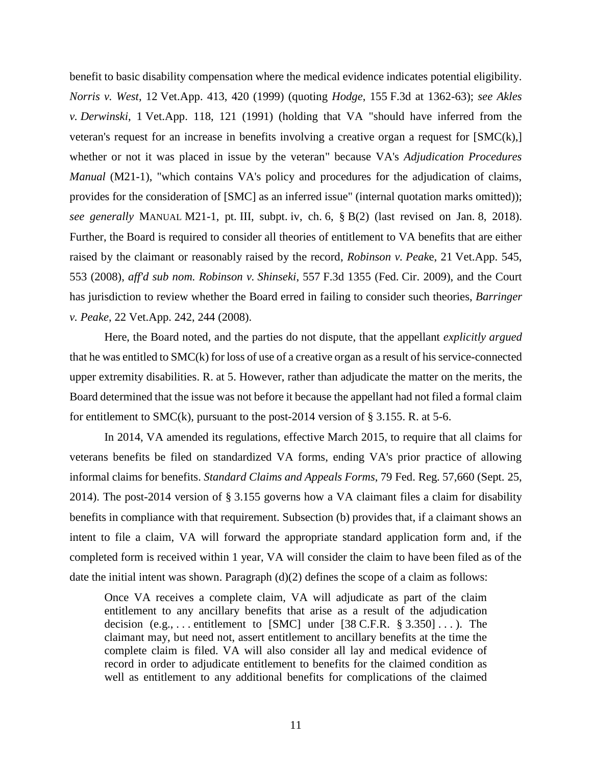benefit to basic disability compensation where the medical evidence indicates potential eligibility. *Norris v. West*, 12 Vet.App. 413, 420 (1999) (quoting *Hodge*, 155 F.3d at 1362-63); *see Akles v. Derwinski*, 1 Vet.App. 118, 121 (1991) (holding that VA "should have inferred from the veteran's request for an increase in benefits involving a creative organ a request for [SMC(k),] whether or not it was placed in issue by the veteran" because VA's *Adjudication Procedures Manual* (M21-1), "which contains VA's policy and procedures for the adjudication of claims, provides for the consideration of [SMC] as an inferred issue" (internal quotation marks omitted)); *see generally* MANUAL M21-1, pt. III, subpt. iv, ch. 6, § B(2) (last revised on Jan. 8, 2018). Further, the Board is required to consider all theories of entitlement to VA benefits that are either raised by the claimant or reasonably raised by the record, *Robinson v. Peak*e, 21 Vet.App. 545, 553 (2008), *aff'd sub nom. Robinson v. Shinseki*, 557 F.3d 1355 (Fed. Cir. 2009), and the Court has jurisdiction to review whether the Board erred in failing to consider such theories, *Barringer v. Peake*, 22 Vet.App. 242, 244 (2008).

Here, the Board noted, and the parties do not dispute, that the appellant *explicitly argued* that he was entitled to SMC(k) for loss of use of a creative organ as a result of his service-connected upper extremity disabilities. R. at 5. However, rather than adjudicate the matter on the merits, the Board determined that the issue was not before it because the appellant had not filed a formal claim for entitlement to SMC(k), pursuant to the post-2014 version of  $\S 3.155$ . R. at 5-6.

In 2014, VA amended its regulations, effective March 2015, to require that all claims for veterans benefits be filed on standardized VA forms, ending VA's prior practice of allowing informal claims for benefits. *Standard Claims and Appeals Forms*, 79 Fed. Reg. 57,660 (Sept. 25, 2014). The post-2014 version of § 3.155 governs how a VA claimant files a claim for disability benefits in compliance with that requirement. Subsection (b) provides that, if a claimant shows an intent to file a claim, VA will forward the appropriate standard application form and, if the completed form is received within 1 year, VA will consider the claim to have been filed as of the date the initial intent was shown. Paragraph  $(d)(2)$  defines the scope of a claim as follows:

Once VA receives a complete claim, VA will adjudicate as part of the claim entitlement to any ancillary benefits that arise as a result of the adjudication decision  $(e.g., \ldots$  entitlement to [SMC] under [38 C.F.R. § 3.350]...). The claimant may, but need not, assert entitlement to ancillary benefits at the time the complete claim is filed. VA will also consider all lay and medical evidence of record in order to adjudicate entitlement to benefits for the claimed condition as well as entitlement to any additional benefits for complications of the claimed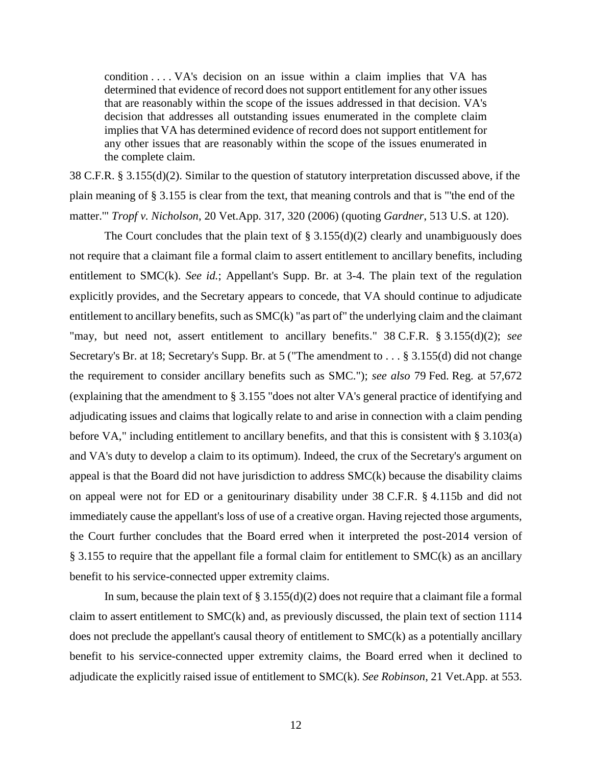condition . . . . VA's decision on an issue within a claim implies that VA has determined that evidence of record does not support entitlement for any other issues that are reasonably within the scope of the issues addressed in that decision. VA's decision that addresses all outstanding issues enumerated in the complete claim implies that VA has determined evidence of record does not support entitlement for any other issues that are reasonably within the scope of the issues enumerated in the complete claim.

38 C.F.R. § 3.155(d)(2). Similar to the question of statutory interpretation discussed above, if the plain meaning of § 3.155 is clear from the text, that meaning controls and that is "'the end of the matter.'" *Tropf v. Nicholson*, 20 Vet.App. 317, 320 (2006) (quoting *Gardner*, 513 U.S. at 120).

The Court concludes that the plain text of  $\S 3.155(d)(2)$  clearly and unambiguously does not require that a claimant file a formal claim to assert entitlement to ancillary benefits, including entitlement to SMC(k). *See id.*; Appellant's Supp. Br. at 3-4. The plain text of the regulation explicitly provides, and the Secretary appears to concede, that VA should continue to adjudicate entitlement to ancillary benefits, such as SMC(k) "as part of" the underlying claim and the claimant "may, but need not, assert entitlement to ancillary benefits." 38 C.F.R. § 3.155(d)(2); *see* Secretary's Br. at 18; Secretary's Supp. Br. at 5 ("The amendment to . . . § 3.155(d) did not change the requirement to consider ancillary benefits such as SMC."); *see also* 79 Fed. Reg. at 57,672 (explaining that the amendment to § 3.155 "does not alter VA's general practice of identifying and adjudicating issues and claims that logically relate to and arise in connection with a claim pending before VA," including entitlement to ancillary benefits, and that this is consistent with § 3.103(a) and VA's duty to develop a claim to its optimum). Indeed, the crux of the Secretary's argument on appeal is that the Board did not have jurisdiction to address  $SMC(k)$  because the disability claims on appeal were not for ED or a genitourinary disability under 38 C.F.R. § 4.115b and did not immediately cause the appellant's loss of use of a creative organ. Having rejected those arguments, the Court further concludes that the Board erred when it interpreted the post-2014 version of § 3.155 to require that the appellant file a formal claim for entitlement to SMC(k) as an ancillary benefit to his service-connected upper extremity claims.

In sum, because the plain text of  $\S 3.155(d)(2)$  does not require that a claimant file a formal claim to assert entitlement to SMC(k) and, as previously discussed, the plain text of section 1114 does not preclude the appellant's causal theory of entitlement to SMC(k) as a potentially ancillary benefit to his service-connected upper extremity claims, the Board erred when it declined to adjudicate the explicitly raised issue of entitlement to SMC(k). *See Robinson*, 21 Vet.App. at 553.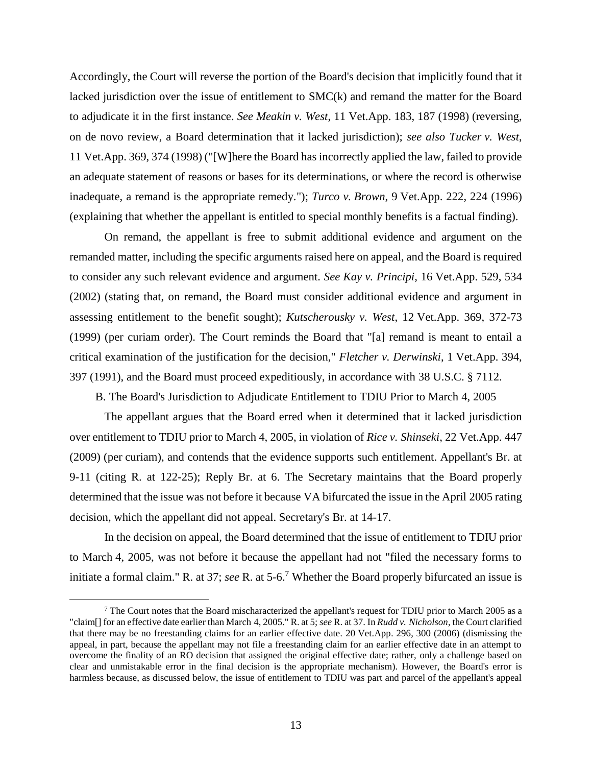Accordingly, the Court will reverse the portion of the Board's decision that implicitly found that it lacked jurisdiction over the issue of entitlement to SMC(k) and remand the matter for the Board to adjudicate it in the first instance. *See Meakin v. West*, 11 Vet.App. 183, 187 (1998) (reversing, on de novo review, a Board determination that it lacked jurisdiction); *see also Tucker v. West*, 11 Vet.App. 369, 374 (1998) ("[W]here the Board has incorrectly applied the law, failed to provide an adequate statement of reasons or bases for its determinations, or where the record is otherwise inadequate, a remand is the appropriate remedy."); *Turco v. Brown*, 9 Vet.App. 222, 224 (1996) (explaining that whether the appellant is entitled to special monthly benefits is a factual finding).

On remand, the appellant is free to submit additional evidence and argument on the remanded matter, including the specific arguments raised here on appeal, and the Board is required to consider any such relevant evidence and argument. *See Kay v. Principi*, 16 Vet.App. 529, 534 (2002) (stating that, on remand, the Board must consider additional evidence and argument in assessing entitlement to the benefit sought); *Kutscherousky v. West*, 12 Vet.App. 369, 372-73 (1999) (per curiam order). The Court reminds the Board that "[a] remand is meant to entail a critical examination of the justification for the decision," *Fletcher v. Derwinski*, 1 Vet.App. 394, 397 (1991), and the Board must proceed expeditiously, in accordance with 38 U.S.C. § 7112.

B. The Board's Jurisdiction to Adjudicate Entitlement to TDIU Prior to March 4, 2005

The appellant argues that the Board erred when it determined that it lacked jurisdiction over entitlement to TDIU prior to March 4, 2005, in violation of *Rice v. Shinseki*, 22 Vet.App. 447 (2009) (per curiam), and contends that the evidence supports such entitlement. Appellant's Br. at 9-11 (citing R. at 122-25); Reply Br. at 6. The Secretary maintains that the Board properly determined that the issue was not before it because VA bifurcated the issue in the April 2005 rating decision, which the appellant did not appeal. Secretary's Br. at 14-17.

In the decision on appeal, the Board determined that the issue of entitlement to TDIU prior to March 4, 2005, was not before it because the appellant had not "filed the necessary forms to initiate a formal claim." R. at 37; *see* R. at 5-6.<sup>7</sup> Whether the Board properly bifurcated an issue is

 $<sup>7</sup>$  The Court notes that the Board mischaracterized the appellant's request for TDIU prior to March 2005 as a</sup> "claim[] for an effective date earlier than March 4, 2005." R. at 5; *see* R. at 37. In *Rudd v. Nicholson*, the Court clarified that there may be no freestanding claims for an earlier effective date. 20 Vet.App. 296, 300 (2006) (dismissing the appeal, in part, because the appellant may not file a freestanding claim for an earlier effective date in an attempt to overcome the finality of an RO decision that assigned the original effective date; rather, only a challenge based on clear and unmistakable error in the final decision is the appropriate mechanism). However, the Board's error is harmless because, as discussed below, the issue of entitlement to TDIU was part and parcel of the appellant's appeal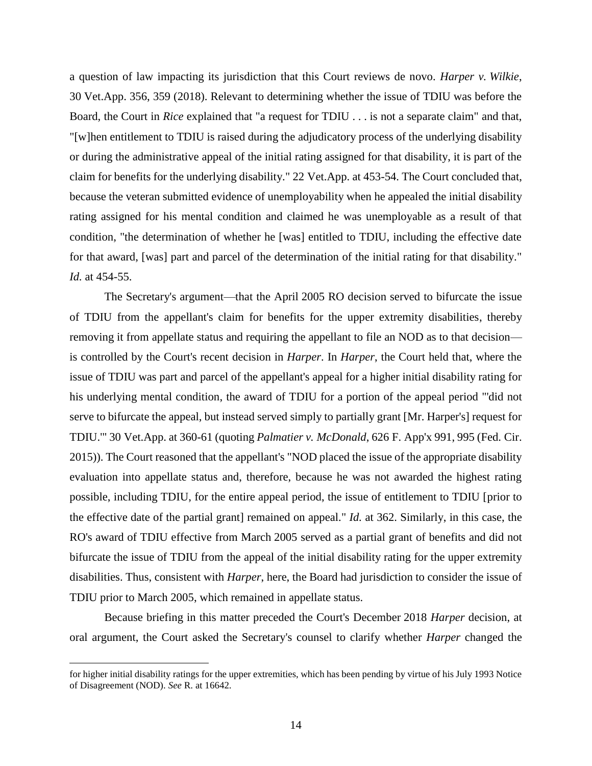a question of law impacting its jurisdiction that this Court reviews de novo. *Harper v. Wilkie*, 30 Vet.App. 356, 359 (2018). Relevant to determining whether the issue of TDIU was before the Board, the Court in *Rice* explained that "a request for TDIU . . . is not a separate claim" and that, "[w]hen entitlement to TDIU is raised during the adjudicatory process of the underlying disability or during the administrative appeal of the initial rating assigned for that disability, it is part of the claim for benefits for the underlying disability." 22 Vet.App. at 453-54. The Court concluded that, because the veteran submitted evidence of unemployability when he appealed the initial disability rating assigned for his mental condition and claimed he was unemployable as a result of that condition, "the determination of whether he [was] entitled to TDIU, including the effective date for that award, [was] part and parcel of the determination of the initial rating for that disability." *Id.* at 454-55.

The Secretary's argument—that the April 2005 RO decision served to bifurcate the issue of TDIU from the appellant's claim for benefits for the upper extremity disabilities, thereby removing it from appellate status and requiring the appellant to file an NOD as to that decision is controlled by the Court's recent decision in *Harper*. In *Harper*, the Court held that, where the issue of TDIU was part and parcel of the appellant's appeal for a higher initial disability rating for his underlying mental condition, the award of TDIU for a portion of the appeal period "'did not serve to bifurcate the appeal, but instead served simply to partially grant [Mr. Harper's] request for TDIU.'" 30 Vet.App. at 360-61 (quoting *Palmatier v. McDonald*, 626 F. App'x 991, 995 (Fed. Cir. 2015)). The Court reasoned that the appellant's "NOD placed the issue of the appropriate disability evaluation into appellate status and, therefore, because he was not awarded the highest rating possible, including TDIU, for the entire appeal period, the issue of entitlement to TDIU [prior to the effective date of the partial grant] remained on appeal." *Id.* at 362. Similarly, in this case, the RO's award of TDIU effective from March 2005 served as a partial grant of benefits and did not bifurcate the issue of TDIU from the appeal of the initial disability rating for the upper extremity disabilities. Thus, consistent with *Harper*, here, the Board had jurisdiction to consider the issue of TDIU prior to March 2005, which remained in appellate status.

Because briefing in this matter preceded the Court's December 2018 *Harper* decision, at oral argument, the Court asked the Secretary's counsel to clarify whether *Harper* changed the

for higher initial disability ratings for the upper extremities, which has been pending by virtue of his July 1993 Notice of Disagreement (NOD). *See* R. at 16642.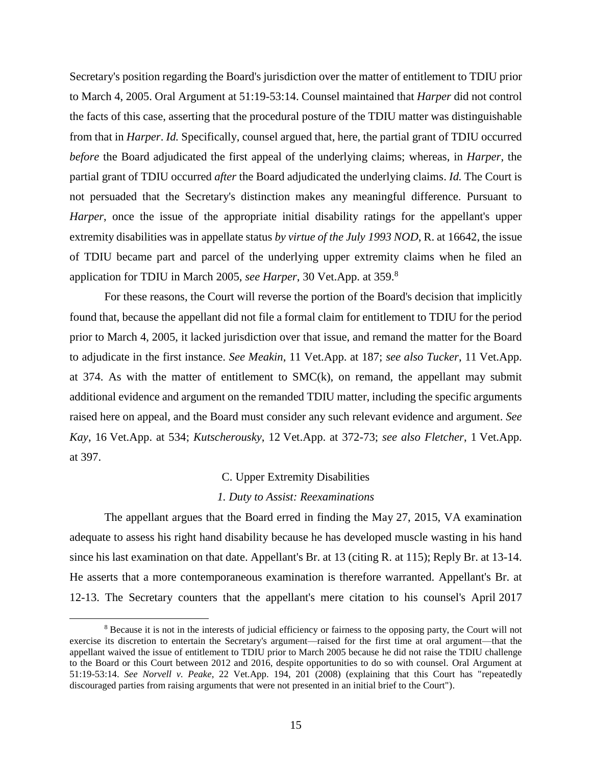Secretary's position regarding the Board's jurisdiction over the matter of entitlement to TDIU prior to March 4, 2005. Oral Argument at 51:19-53:14. Counsel maintained that *Harper* did not control the facts of this case, asserting that the procedural posture of the TDIU matter was distinguishable from that in *Harper*. *Id.* Specifically, counsel argued that, here, the partial grant of TDIU occurred *before* the Board adjudicated the first appeal of the underlying claims; whereas, in *Harper*, the partial grant of TDIU occurred *after* the Board adjudicated the underlying claims. *Id.* The Court is not persuaded that the Secretary's distinction makes any meaningful difference. Pursuant to *Harper*, once the issue of the appropriate initial disability ratings for the appellant's upper extremity disabilities was in appellate status *by virtue of the July 1993 NOD*, R. at 16642, the issue of TDIU became part and parcel of the underlying upper extremity claims when he filed an application for TDIU in March 2005, *see Harper*, 30 Vet.App. at 359.<sup>8</sup>

For these reasons, the Court will reverse the portion of the Board's decision that implicitly found that, because the appellant did not file a formal claim for entitlement to TDIU for the period prior to March 4, 2005, it lacked jurisdiction over that issue, and remand the matter for the Board to adjudicate in the first instance. *See Meakin*, 11 Vet.App. at 187; *see also Tucker*, 11 Vet.App. at 374. As with the matter of entitlement to  $SMC(k)$ , on remand, the appellant may submit additional evidence and argument on the remanded TDIU matter, including the specific arguments raised here on appeal, and the Board must consider any such relevant evidence and argument. *See Kay*, 16 Vet.App. at 534; *Kutscherousky*, 12 Vet.App. at 372-73; *see also Fletcher*, 1 Vet.App. at 397.

### C. Upper Extremity Disabilities

## *1. Duty to Assist: Reexaminations*

The appellant argues that the Board erred in finding the May 27, 2015, VA examination adequate to assess his right hand disability because he has developed muscle wasting in his hand since his last examination on that date. Appellant's Br. at 13 (citing R. at 115); Reply Br. at 13-14. He asserts that a more contemporaneous examination is therefore warranted. Appellant's Br. at 12-13. The Secretary counters that the appellant's mere citation to his counsel's April 2017

<sup>8</sup> Because it is not in the interests of judicial efficiency or fairness to the opposing party, the Court will not exercise its discretion to entertain the Secretary's argument—raised for the first time at oral argument—that the appellant waived the issue of entitlement to TDIU prior to March 2005 because he did not raise the TDIU challenge to the Board or this Court between 2012 and 2016, despite opportunities to do so with counsel. Oral Argument at 51:19-53:14. *See Norvell v. Peake*, 22 Vet.App. 194, 201 (2008) (explaining that this Court has "repeatedly discouraged parties from raising arguments that were not presented in an initial brief to the Court").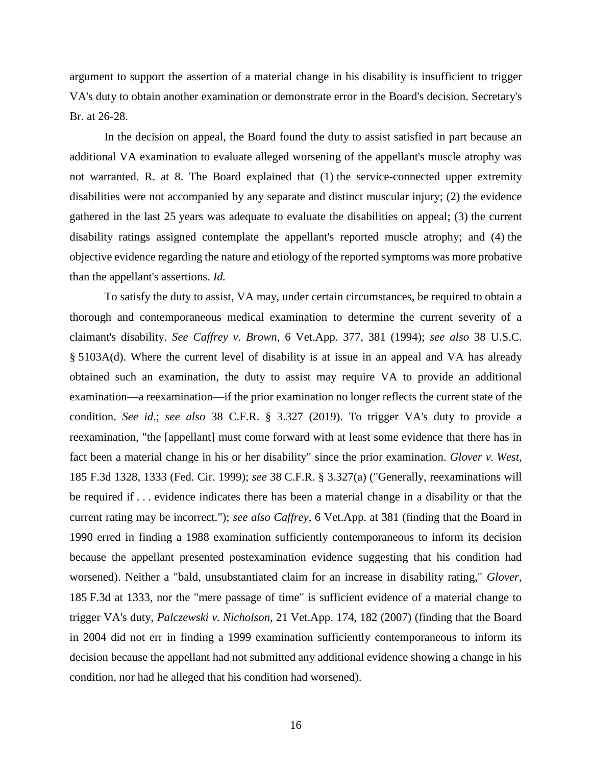argument to support the assertion of a material change in his disability is insufficient to trigger VA's duty to obtain another examination or demonstrate error in the Board's decision. Secretary's Br. at 26-28.

In the decision on appeal, the Board found the duty to assist satisfied in part because an additional VA examination to evaluate alleged worsening of the appellant's muscle atrophy was not warranted. R. at 8. The Board explained that (1) the service-connected upper extremity disabilities were not accompanied by any separate and distinct muscular injury; (2) the evidence gathered in the last 25 years was adequate to evaluate the disabilities on appeal; (3) the current disability ratings assigned contemplate the appellant's reported muscle atrophy; and (4) the objective evidence regarding the nature and etiology of the reported symptoms was more probative than the appellant's assertions. *Id.*

To satisfy the duty to assist, VA may, under certain circumstances, be required to obtain a thorough and contemporaneous medical examination to determine the current severity of a claimant's disability. *See Caffrey v. Brown*, 6 Vet.App. 377, 381 (1994); *see also* 38 U.S.C. § 5103A(d). Where the current level of disability is at issue in an appeal and VA has already obtained such an examination, the duty to assist may require VA to provide an additional examination—a reexamination—if the prior examination no longer reflects the current state of the condition. *See id*.; *see also* 38 C.F.R. § 3.327 (2019). To trigger VA's duty to provide a reexamination, "the [appellant] must come forward with at least some evidence that there has in fact been a material change in his or her disability" since the prior examination. *Glover v. West*, 185 F.3d 1328, 1333 (Fed. Cir. 1999); *see* 38 C.F.R. § 3.327(a) ("Generally, reexaminations will be required if . . . evidence indicates there has been a material change in a disability or that the current rating may be incorrect."); *see also Caffrey*, 6 Vet.App. at 381 (finding that the Board in 1990 erred in finding a 1988 examination sufficiently contemporaneous to inform its decision because the appellant presented postexamination evidence suggesting that his condition had worsened). Neither a "bald, unsubstantiated claim for an increase in disability rating," *Glover*, 185 F.3d at 1333, nor the "mere passage of time" is sufficient evidence of a material change to trigger VA's duty, *Palczewski v. Nicholson*, 21 Vet.App. 174, 182 (2007) (finding that the Board in 2004 did not err in finding a 1999 examination sufficiently contemporaneous to inform its decision because the appellant had not submitted any additional evidence showing a change in his condition, nor had he alleged that his condition had worsened).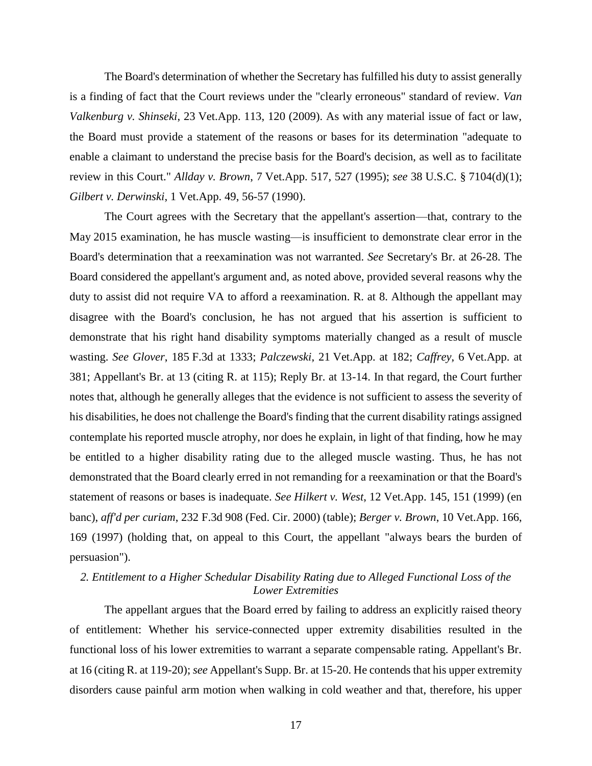The Board's determination of whether the Secretary has fulfilled his duty to assist generally is a finding of fact that the Court reviews under the "clearly erroneous" standard of review. *Van Valkenburg v. Shinseki*, 23 Vet.App. 113, 120 (2009). As with any material issue of fact or law, the Board must provide a statement of the reasons or bases for its determination "adequate to enable a claimant to understand the precise basis for the Board's decision, as well as to facilitate review in this Court." *Allday v. Brown*, 7 Vet.App. 517, 527 (1995); *see* 38 U.S.C. § 7104(d)(1); *Gilbert v. Derwinski*, 1 Vet.App. 49, 56-57 (1990).

The Court agrees with the Secretary that the appellant's assertion—that, contrary to the May 2015 examination, he has muscle wasting—is insufficient to demonstrate clear error in the Board's determination that a reexamination was not warranted. *See* Secretary's Br. at 26-28. The Board considered the appellant's argument and, as noted above, provided several reasons why the duty to assist did not require VA to afford a reexamination. R. at 8. Although the appellant may disagree with the Board's conclusion, he has not argued that his assertion is sufficient to demonstrate that his right hand disability symptoms materially changed as a result of muscle wasting. *See Glover*, 185 F.3d at 1333; *Palczewski*, 21 Vet.App. at 182; *Caffrey*, 6 Vet.App. at 381; Appellant's Br. at 13 (citing R. at 115); Reply Br. at 13-14. In that regard, the Court further notes that, although he generally alleges that the evidence is not sufficient to assess the severity of his disabilities, he does not challenge the Board's finding that the current disability ratings assigned contemplate his reported muscle atrophy, nor does he explain, in light of that finding, how he may be entitled to a higher disability rating due to the alleged muscle wasting. Thus, he has not demonstrated that the Board clearly erred in not remanding for a reexamination or that the Board's statement of reasons or bases is inadequate. *See Hilkert v. West*, 12 Vet.App. 145, 151 (1999) (en banc), *aff'd per curiam*, 232 F.3d 908 (Fed. Cir. 2000) (table); *Berger v. Brown*, 10 Vet.App. 166, 169 (1997) (holding that, on appeal to this Court, the appellant "always bears the burden of persuasion").

# *2. Entitlement to a Higher Schedular Disability Rating due to Alleged Functional Loss of the Lower Extremities*

The appellant argues that the Board erred by failing to address an explicitly raised theory of entitlement: Whether his service-connected upper extremity disabilities resulted in the functional loss of his lower extremities to warrant a separate compensable rating. Appellant's Br. at 16 (citing R. at 119-20); *see* Appellant's Supp. Br. at 15-20. He contends that his upper extremity disorders cause painful arm motion when walking in cold weather and that, therefore, his upper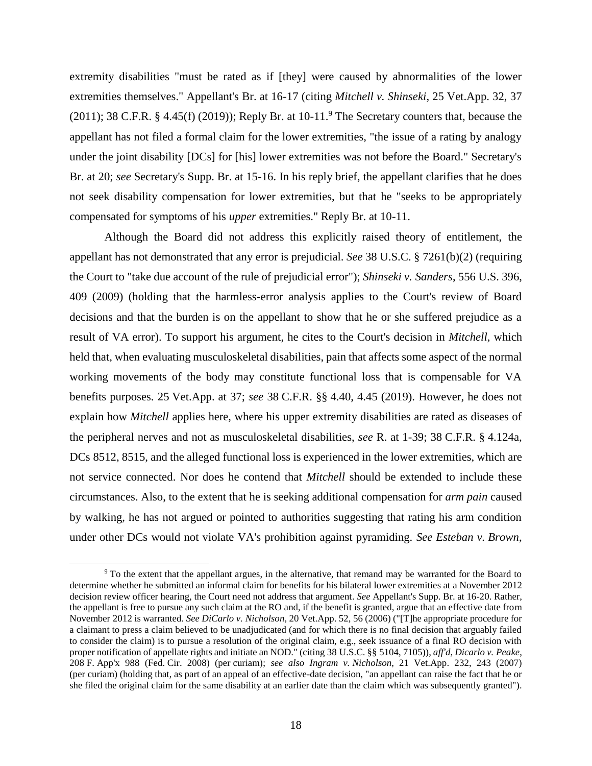extremity disabilities "must be rated as if [they] were caused by abnormalities of the lower extremities themselves." Appellant's Br. at 16-17 (citing *Mitchell v. Shinseki*, 25 Vet.App. 32, 37 (2011); 38 C.F.R. § 4.45(f) (2019)); Reply Br. at  $10-11$ . The Secretary counters that, because the appellant has not filed a formal claim for the lower extremities, "the issue of a rating by analogy under the joint disability [DCs] for [his] lower extremities was not before the Board." Secretary's Br. at 20; *see* Secretary's Supp. Br. at 15-16. In his reply brief, the appellant clarifies that he does not seek disability compensation for lower extremities, but that he "seeks to be appropriately compensated for symptoms of his *upper* extremities." Reply Br. at 10-11.

Although the Board did not address this explicitly raised theory of entitlement, the appellant has not demonstrated that any error is prejudicial. *See* 38 U.S.C. § 7261(b)(2) (requiring the Court to "take due account of the rule of prejudicial error"); *Shinseki v. Sanders*, 556 U.S. 396, 409 (2009) (holding that the harmless-error analysis applies to the Court's review of Board decisions and that the burden is on the appellant to show that he or she suffered prejudice as a result of VA error). To support his argument, he cites to the Court's decision in *Mitchell*, which held that, when evaluating musculoskeletal disabilities, pain that affects some aspect of the normal working movements of the body may constitute functional loss that is compensable for VA benefits purposes. 25 Vet.App. at 37; *see* 38 C.F.R. §§ 4.40, 4.45 (2019). However, he does not explain how *Mitchell* applies here, where his upper extremity disabilities are rated as diseases of the peripheral nerves and not as musculoskeletal disabilities, *see* R. at 1-39; 38 C.F.R. § 4.124a, DCs 8512, 8515, and the alleged functional loss is experienced in the lower extremities, which are not service connected. Nor does he contend that *Mitchell* should be extended to include these circumstances. Also, to the extent that he is seeking additional compensation for *arm pain* caused by walking, he has not argued or pointed to authorities suggesting that rating his arm condition under other DCs would not violate VA's prohibition against pyramiding. *See Esteban v. Brown*,

<sup>9</sup> To the extent that the appellant argues, in the alternative, that remand may be warranted for the Board to determine whether he submitted an informal claim for benefits for his bilateral lower extremities at a November 2012 decision review officer hearing, the Court need not address that argument. *See* Appellant's Supp. Br. at 16-20. Rather, the appellant is free to pursue any such claim at the RO and, if the benefit is granted, argue that an effective date from November 2012 is warranted. *See DiCarlo v. Nicholson*, 20 Vet.App. 52, 56 (2006) ("[T]he appropriate procedure for a claimant to press a claim believed to be unadjudicated (and for which there is no final decision that arguably failed to consider the claim) is to pursue a resolution of the original claim, e.g., seek issuance of a final RO decision with proper notification of appellate rights and initiate an NOD." (citing 38 U.S.C. §§ 5104, 7105)), *aff'd*, *Dicarlo v. Peake*, 208 F. App'x 988 (Fed. Cir. 2008) (per curiam); *see also Ingram v. Nicholson*, 21 Vet.App. 232, 243 (2007) (per curiam) (holding that, as part of an appeal of an effective-date decision, "an appellant can raise the fact that he or she filed the original claim for the same disability at an earlier date than the claim which was subsequently granted").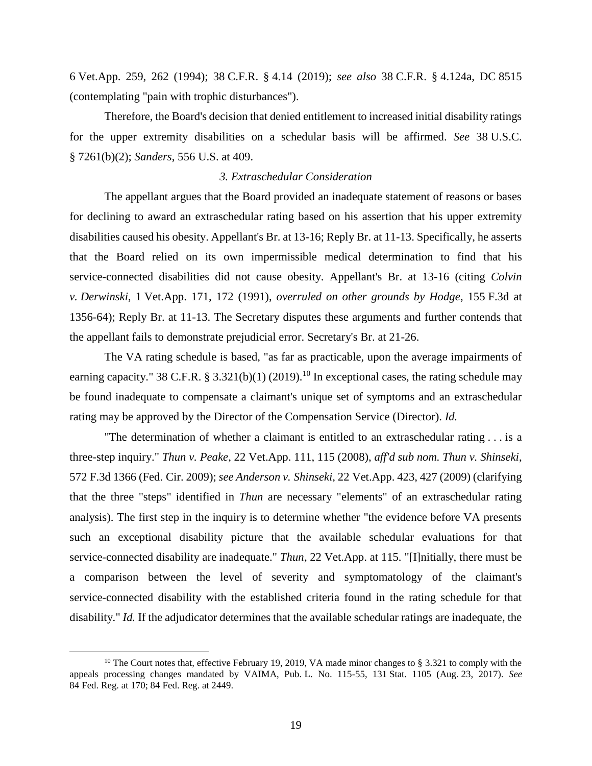6 Vet.App. 259, 262 (1994); 38 C.F.R. § 4.14 (2019); *see also* 38 C.F.R. § 4.124a, DC 8515 (contemplating "pain with trophic disturbances").

Therefore, the Board's decision that denied entitlement to increased initial disability ratings for the upper extremity disabilities on a schedular basis will be affirmed. *See* 38 U.S.C. § 7261(b)(2); *Sanders*, 556 U.S. at 409.

## *3. Extraschedular Consideration*

The appellant argues that the Board provided an inadequate statement of reasons or bases for declining to award an extraschedular rating based on his assertion that his upper extremity disabilities caused his obesity. Appellant's Br. at 13-16; Reply Br. at 11-13. Specifically, he asserts that the Board relied on its own impermissible medical determination to find that his service-connected disabilities did not cause obesity. Appellant's Br. at 13-16 (citing *Colvin v. Derwinski*, 1 Vet.App. 171, 172 (1991), *overruled on other grounds by Hodge*, 155 F.3d at 1356-64); Reply Br. at 11-13. The Secretary disputes these arguments and further contends that the appellant fails to demonstrate prejudicial error. Secretary's Br. at 21-26.

The VA rating schedule is based, "as far as practicable, upon the average impairments of earning capacity." 38 C.F.R. § 3.321(b)(1) (2019).<sup>10</sup> In exceptional cases, the rating schedule may be found inadequate to compensate a claimant's unique set of symptoms and an extraschedular rating may be approved by the Director of the Compensation Service (Director). *Id.*

"The determination of whether a claimant is entitled to an extraschedular rating . . . is a three-step inquiry." *Thun v. Peake*, 22 Vet.App. 111, 115 (2008), *aff'd sub nom. Thun v. Shinseki*, 572 F.3d 1366 (Fed. Cir. 2009); *see Anderson v. Shinseki*, 22 Vet.App. 423, 427 (2009) (clarifying that the three "steps" identified in *Thun* are necessary "elements" of an extraschedular rating analysis). The first step in the inquiry is to determine whether "the evidence before VA presents such an exceptional disability picture that the available schedular evaluations for that service-connected disability are inadequate." *Thun*, 22 Vet.App. at 115. "[I]nitially, there must be a comparison between the level of severity and symptomatology of the claimant's service-connected disability with the established criteria found in the rating schedule for that disability." *Id.* If the adjudicator determines that the available schedular ratings are inadequate, the

<sup>&</sup>lt;sup>10</sup> The Court notes that, effective February 19, 2019, VA made minor changes to § 3.321 to comply with the appeals processing changes mandated by VAIMA, Pub. L. No. 115-55, 131 Stat. 1105 (Aug. 23, 2017). *See*  84 Fed. Reg. at 170; 84 Fed. Reg. at 2449.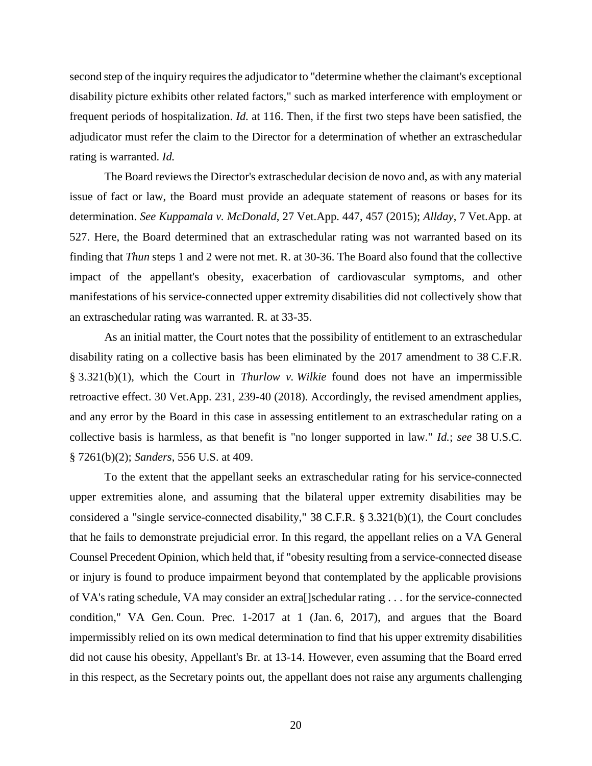second step of the inquiry requires the adjudicator to "determine whether the claimant's exceptional disability picture exhibits other related factors," such as marked interference with employment or frequent periods of hospitalization. *Id.* at 116. Then, if the first two steps have been satisfied, the adjudicator must refer the claim to the Director for a determination of whether an extraschedular rating is warranted. *Id.*

The Board reviews the Director's extraschedular decision de novo and, as with any material issue of fact or law, the Board must provide an adequate statement of reasons or bases for its determination. *See Kuppamala v. McDonald*, 27 Vet.App. 447, 457 (2015); *Allday*, 7 Vet.App. at 527. Here, the Board determined that an extraschedular rating was not warranted based on its finding that *Thun* steps 1 and 2 were not met. R. at 30-36. The Board also found that the collective impact of the appellant's obesity, exacerbation of cardiovascular symptoms, and other manifestations of his service-connected upper extremity disabilities did not collectively show that an extraschedular rating was warranted. R. at 33-35.

As an initial matter, the Court notes that the possibility of entitlement to an extraschedular disability rating on a collective basis has been eliminated by the 2017 amendment to 38 C.F.R. § 3.321(b)(1), which the Court in *Thurlow v. Wilkie* found does not have an impermissible retroactive effect. 30 Vet.App. 231, 239-40 (2018). Accordingly, the revised amendment applies, and any error by the Board in this case in assessing entitlement to an extraschedular rating on a collective basis is harmless, as that benefit is "no longer supported in law." *Id.*; *see* 38 U.S.C. § 7261(b)(2); *Sanders*, 556 U.S. at 409.

To the extent that the appellant seeks an extraschedular rating for his service-connected upper extremities alone, and assuming that the bilateral upper extremity disabilities may be considered a "single service-connected disability," 38 C.F.R. § 3.321(b)(1), the Court concludes that he fails to demonstrate prejudicial error. In this regard, the appellant relies on a VA General Counsel Precedent Opinion, which held that, if "obesity resulting from a service-connected disease or injury is found to produce impairment beyond that contemplated by the applicable provisions of VA's rating schedule, VA may consider an extra[]schedular rating . . . for the service-connected condition," VA Gen. Coun. Prec. 1-2017 at 1 (Jan. 6, 2017), and argues that the Board impermissibly relied on its own medical determination to find that his upper extremity disabilities did not cause his obesity, Appellant's Br. at 13-14. However, even assuming that the Board erred in this respect, as the Secretary points out, the appellant does not raise any arguments challenging